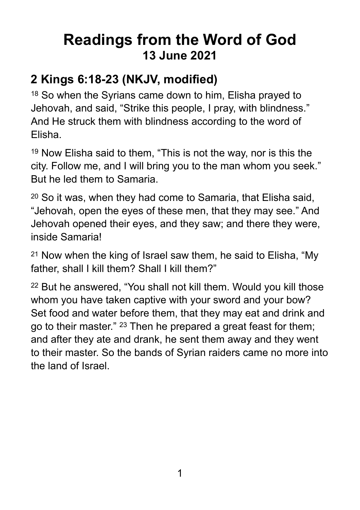# **Readings from the Word of God 13 June 2021**

## **2 Kings 6:18-23 (NKJV, modified)**

18 So when the Syrians came down to him, Elisha prayed to Jehovah, and said, "Strike this people, I pray, with blindness." And He struck them with blindness according to the word of Elisha.

19 Now Elisha said to them, "This is not the way, nor is this the city. Follow me, and I will bring you to the man whom you seek." But he led them to Samaria.

20 So it was, when they had come to Samaria, that Elisha said, "Jehovah, open the eyes of these men, that they may see." And Jehovah opened their eyes, and they saw; and there they were, inside Samaria!

21 Now when the king of Israel saw them, he said to Elisha, "My father, shall I kill them? Shall I kill them?"

22 But he answered, "You shall not kill them. Would you kill those whom you have taken captive with your sword and your bow? Set food and water before them, that they may eat and drink and go to their master." <sup>23</sup> Then he prepared a great feast for them; and after they ate and drank, he sent them away and they went to their master. So the bands of Syrian raiders came no more into the land of Israel.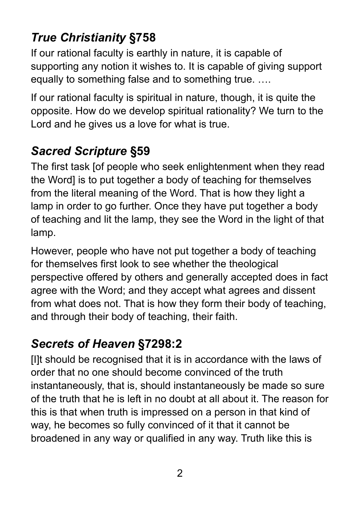# *True Christianity* **§758**

If our rational faculty is earthly in nature, it is capable of supporting any notion it wishes to. It is capable of giving support equally to something false and to something true. ….

If our rational faculty is spiritual in nature, though, it is quite the opposite. How do we develop spiritual rationality? We turn to the Lord and he gives us a love for what is true.

# *Sacred Scripture* **§59**

The first task [of people who seek enlightenment when they read the Word] is to put together a body of teaching for themselves from the literal meaning of the Word. That is how they light a lamp in order to go further. Once they have put together a body of teaching and lit the lamp, they see the Word in the light of that lamp.

However, people who have not put together a body of teaching for themselves first look to see whether the theological perspective offered by others and generally accepted does in fact agree with the Word; and they accept what agrees and dissent from what does not. That is how they form their body of teaching, and through their body of teaching, their faith.

#### *Secrets of Heaven* **§7298:2**

[I]t should be recognised that it is in accordance with the laws of order that no one should become convinced of the truth instantaneously, that is, should instantaneously be made so sure of the truth that he is left in no doubt at all about it. The reason for this is that when truth is impressed on a person in that kind of way, he becomes so fully convinced of it that it cannot be broadened in any way or qualified in any way. Truth like this is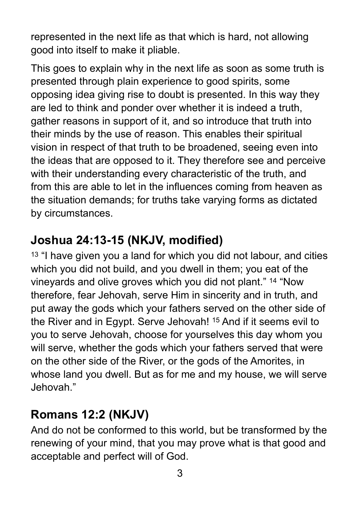represented in the next life as that which is hard, not allowing good into itself to make it pliable.

This goes to explain why in the next life as soon as some truth is presented through plain experience to good spirits, some opposing idea giving rise to doubt is presented. In this way they are led to think and ponder over whether it is indeed a truth, gather reasons in support of it, and so introduce that truth into their minds by the use of reason. This enables their spiritual vision in respect of that truth to be broadened, seeing even into the ideas that are opposed to it. They therefore see and perceive with their understanding every characteristic of the truth, and from this are able to let in the influences coming from heaven as the situation demands; for truths take varying forms as dictated by circumstances.

### **Joshua 24:13-15 (NKJV, modified)**

<sup>13</sup> "I have given you a land for which you did not labour, and cities which you did not build, and you dwell in them; you eat of the vineyards and olive groves which you did not plant." 14 "Now therefore, fear Jehovah, serve Him in sincerity and in truth, and put away the gods which your fathers served on the other side of the River and in Egypt. Serve Jehovah! 15 And if it seems evil to you to serve Jehovah, choose for yourselves this day whom you will serve, whether the gods which your fathers served that were on the other side of the River, or the gods of the Amorites, in whose land you dwell. But as for me and my house, we will serve Jehovah."

# **Romans 12:2 (NKJV)**

And do not be conformed to this world, but be transformed by the renewing of your mind, that you may prove what is that good and acceptable and perfect will of God.